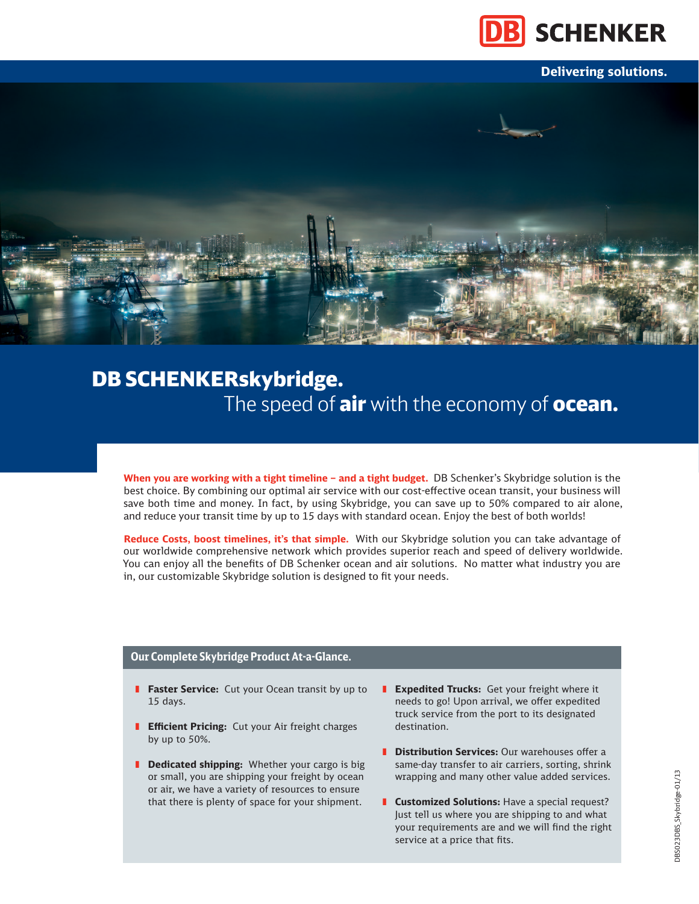

**Delivering solutions.**



# DB SCHENKERskybridge. The speed of air with the economy of ocean.

**When you are working with a tight timeline – and a tight budget.** DB Schenker's Skybridge solution is the best choice. By combining our optimal air service with our cost-effective ocean transit, your business will save both time and money. In fact, by using Skybridge, you can save up to 50% compared to air alone, and reduce your transit time by up to 15 days with standard ocean. Enjoy the best of both worlds!

**Reduce Costs, boost timelines, it's that simple.** With our Skybridge solution you can take advantage of our worldwide comprehensive network which provides superior reach and speed of delivery worldwide. You can enjoy all the benefits of DB Schenker ocean and air solutions. No matter what industry you are in, our customizable Skybridge solution is designed to fit your needs.

## **Our Complete Skybridge Product At-a-Glance.**

- **Faster Service:** Cut your Ocean transit by up to 15 days.
- **Efficient Pricing:** Cut your Air freight charges by up to 50%.
- **B** Dedicated shipping: Whether your cargo is big or small, you are shipping your freight by ocean or air, we have a variety of resources to ensure that there is plenty of space for your shipment.
- **Expedited Trucks:** Get your freight where it needs to go! Upon arrival, we offer expedited truck service from the port to its designated destination.
- **Distribution Services:** Our warehouses offer a same-day transfer to air carriers, sorting, shrink wrapping and many other value added services.
- **E** Customized Solutions: Have a special request? Just tell us where you are shipping to and what your requirements are and we will find the right service at a price that fits.